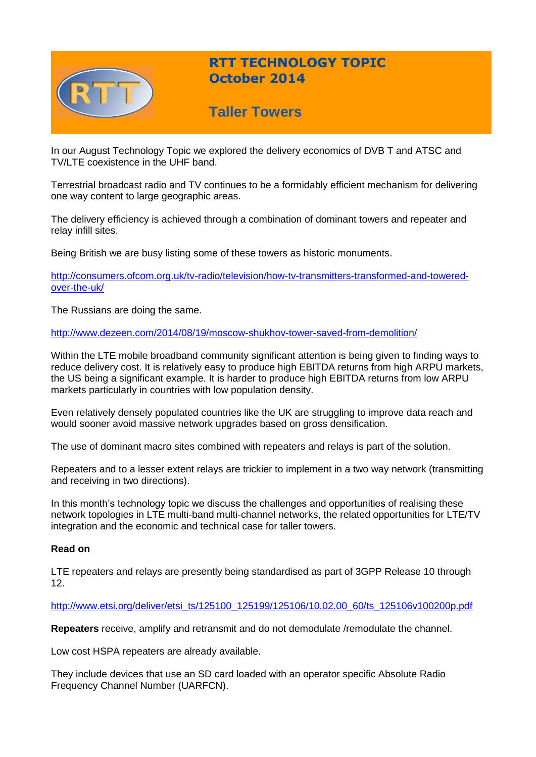

# **RTT TECHNOLOGY TOPIC October 2014**

# **Taller Towers**

In our August Technology Topic we explored the delivery economics of DVB T and ATSC and TV/LTE coexistence in the UHF band.

Terrestrial broadcast radio and TV continues to be a formidably efficient mechanism for delivering one way content to large geographic areas.

The delivery efficiency is achieved through a combination of dominant towers and repeater and relay infill sites.

Being British we are busy listing some of these towers as historic monuments.

[http://consumers.ofcom.org.uk/tv-radio/television/how-tv-transmitters-transformed-and-towered](http://consumers.ofcom.org.uk/tv-radio/television/how-tv-transmitters-transformed-and-towered-over-the-uk/)[over-the-uk/](http://consumers.ofcom.org.uk/tv-radio/television/how-tv-transmitters-transformed-and-towered-over-the-uk/)

The Russians are doing the same.

<http://www.dezeen.com/2014/08/19/moscow-shukhov-tower-saved-from-demolition/>

Within the LTE mobile broadband community significant attention is being given to finding ways to reduce delivery cost. It is relatively easy to produce high EBITDA returns from high ARPU markets, the US being a significant example. It is harder to produce high EBITDA returns from low ARPU markets particularly in countries with low population density.

Even relatively densely populated countries like the UK are struggling to improve data reach and would sooner avoid massive network upgrades based on gross densification.

The use of dominant macro sites combined with repeaters and relays is part of the solution.

Repeaters and to a lesser extent relays are trickier to implement in a two way network (transmitting and receiving in two directions).

In this month's technology topic we discuss the challenges and opportunities of realising these network topologies in LTE multi-band multi-channel networks, the related opportunities for LTE/TV integration and the economic and technical case for taller towers.

### **Read on**

LTE repeaters and relays are presently being standardised as part of 3GPP Release 10 through 12.

#### [http://www.etsi.org/deliver/etsi\\_ts/125100\\_125199/125106/10.02.00\\_60/ts\\_125106v100200p.pdf](http://www.etsi.org/deliver/etsi_ts/125100_125199/125106/10.02.00_60/ts_125106v100200p.pdf)

**Repeaters** receive, amplify and retransmit and do not demodulate /remodulate the channel.

Low cost HSPA repeaters are already available.

They include devices that use an SD card loaded with an operator specific Absolute Radio Frequency Channel Number (UARFCN).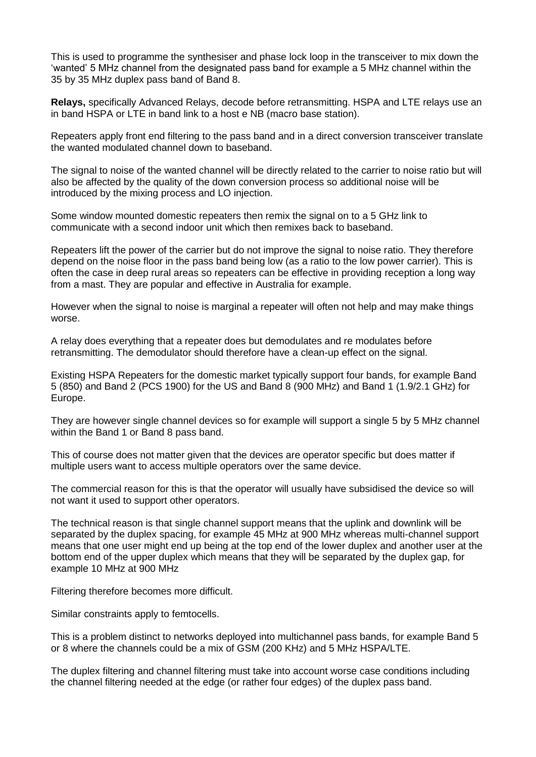This is used to programme the synthesiser and phase lock loop in the transceiver to mix down the 'wanted' 5 MHz channel from the designated pass band for example a 5 MHz channel within the 35 by 35 MHz duplex pass band of Band 8.

**Relays,** specifically Advanced Relays, decode before retransmitting. HSPA and LTE relays use an in band HSPA or LTE in band link to a host e NB (macro base station).

Repeaters apply front end filtering to the pass band and in a direct conversion transceiver translate the wanted modulated channel down to baseband.

The signal to noise of the wanted channel will be directly related to the carrier to noise ratio but will also be affected by the quality of the down conversion process so additional noise will be introduced by the mixing process and LO injection.

Some window mounted domestic repeaters then remix the signal on to a 5 GHz link to communicate with a second indoor unit which then remixes back to baseband.

Repeaters lift the power of the carrier but do not improve the signal to noise ratio. They therefore depend on the noise floor in the pass band being low (as a ratio to the low power carrier). This is often the case in deep rural areas so repeaters can be effective in providing reception a long way from a mast. They are popular and effective in Australia for example.

However when the signal to noise is marginal a repeater will often not help and may make things worse.

A relay does everything that a repeater does but demodulates and re modulates before retransmitting. The demodulator should therefore have a clean-up effect on the signal.

Existing HSPA Repeaters for the domestic market typically support four bands, for example Band 5 (850) and Band 2 (PCS 1900) for the US and Band 8 (900 MHz) and Band 1 (1.9/2.1 GHz) for Europe.

They are however single channel devices so for example will support a single 5 by 5 MHz channel within the Band 1 or Band 8 pass band.

This of course does not matter given that the devices are operator specific but does matter if multiple users want to access multiple operators over the same device.

The commercial reason for this is that the operator will usually have subsidised the device so will not want it used to support other operators.

The technical reason is that single channel support means that the uplink and downlink will be separated by the duplex spacing, for example 45 MHz at 900 MHz whereas multi-channel support means that one user might end up being at the top end of the lower duplex and another user at the bottom end of the upper duplex which means that they will be separated by the duplex gap, for example 10 MHz at 900 MHz

Filtering therefore becomes more difficult.

Similar constraints apply to femtocells.

This is a problem distinct to networks deployed into multichannel pass bands, for example Band 5 or 8 where the channels could be a mix of GSM (200 KHz) and 5 MHz HSPA/LTE.

The duplex filtering and channel filtering must take into account worse case conditions including the channel filtering needed at the edge (or rather four edges) of the duplex pass band.